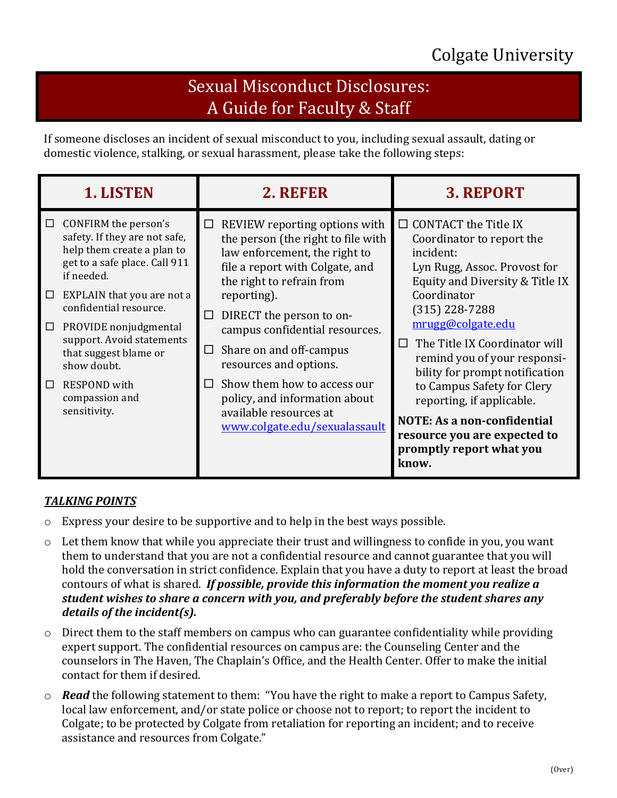# Sexual Misconduct Disclosures: A Guide for Faculty & Staff

If someone discloses an incident of sexual misconduct to you, including sexual assault, dating or domestic violence, stalking, or sexual harassment, please take the following steps:

|        | <b>1. LISTEN</b>                                                                                                                          | 2. REFER                                                                                                                                                                    | <b>3. REPORT</b>                                                                                                                                                                                                                                                                                                                                                                                                                                                               |
|--------|-------------------------------------------------------------------------------------------------------------------------------------------|-----------------------------------------------------------------------------------------------------------------------------------------------------------------------------|--------------------------------------------------------------------------------------------------------------------------------------------------------------------------------------------------------------------------------------------------------------------------------------------------------------------------------------------------------------------------------------------------------------------------------------------------------------------------------|
|        | $\Box$ CONFIRM the person's<br>safety. If they are not safe,<br>help them create a plan to<br>get to a safe place. Call 911<br>if needed. | $\Box$ REVIEW reporting options with<br>the person (the right to file with<br>law enforcement, the right to<br>file a report with Colgate, and<br>the right to refrain from | $\Box$ CONTACT the Title IX<br>Coordinator to report the<br>incident:<br>Lyn Rugg, Assoc. Provost for<br>Equity and Diversity & Title IX<br>Coordinator<br>$(315)$ 228-7288<br>mrugg@colgate.edu<br>The Title IX Coordinator will<br>П<br>remind you of your responsi-<br>bility for prompt notification<br>to Campus Safety for Clery<br>reporting, if applicable.<br><b>NOTE: As a non-confidential</b><br>resource you are expected to<br>promptly report what you<br>know. |
|        | $\Box$ EXPLAIN that you are not a<br>confidential resource.                                                                               | reporting).<br>$\Box$ DIRECT the person to on-                                                                                                                              |                                                                                                                                                                                                                                                                                                                                                                                                                                                                                |
| $\Box$ | PROVIDE nonjudgmental<br>support. Avoid statements<br>that suggest blame or<br>show doubt.                                                | campus confidential resources.<br>Share on and off-campus<br>$\Box$<br>resources and options.                                                                               |                                                                                                                                                                                                                                                                                                                                                                                                                                                                                |
| П.     | RESPOND with<br>compassion and<br>sensitivity.                                                                                            | Show them how to access our<br>П<br>policy, and information about<br>available resources at<br>www.colgate.edu/sexualassault                                                |                                                                                                                                                                                                                                                                                                                                                                                                                                                                                |

## *TALKING POINTS*

- $\circ$  Express your desire to be supportive and to help in the best ways possible.
- $\circ$  Let them know that while you appreciate their trust and willingness to confide in you, you want them to understand that you are not a confidential resource and cannot guarantee that you will hold the conversation in strict confidence. Explain that you have a duty to report at least the broad contours of what is shared. *If possible, provide this information the moment you realize a* student wishes to share a concern with you, and preferably before the student shares any details of the incident(s).
- $\circ$  Direct them to the staff members on campus who can guarantee confidentiality while providing expert support. The confidential resources on campus are: the Counseling Center and the counselors in The Haven, The Chaplain's Office, and the Health Center. Offer to make the initial contact for them if desired.
- $\circ$  *Read* the following statement to them: "You have the right to make a report to Campus Safety, local law enforcement, and/or state police or choose not to report; to report the incident to Colgate; to be protected by Colgate from retaliation for reporting an incident; and to receive assistance and resources from Colgate."